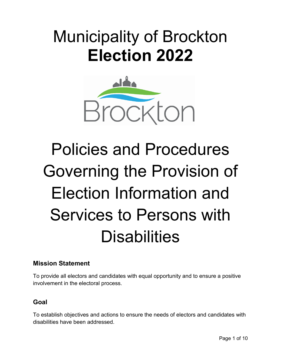## Municipality of Brockton **Election 2022**



# Policies and Procedures Governing the Provision of Election Information and Services to Persons with **Disabilities**

## **Mission Statement**

To provide all electors and candidates with equal opportunity and to ensure a positive involvement in the electoral process.

## **Goal**

To establish objectives and actions to ensure the needs of electors and candidates with disabilities have been addressed.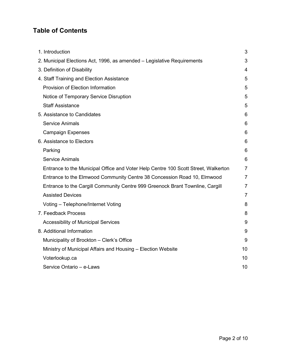## **Table of Contents**

<span id="page-1-0"></span>

| 1. Introduction                                                                    | 3              |
|------------------------------------------------------------------------------------|----------------|
| 2. Municipal Elections Act, 1996, as amended - Legislative Requirements            | 3              |
| 3. Definition of Disability                                                        | 4              |
| 4. Staff Training and Election Assistance                                          | 5              |
| Provision of Election Information                                                  | 5              |
| Notice of Temporary Service Disruption                                             | 5              |
| <b>Staff Assistance</b>                                                            | 5              |
| 5. Assistance to Candidates                                                        | 6              |
| <b>Service Animals</b>                                                             | 6              |
| <b>Campaign Expenses</b>                                                           | 6              |
| 6. Assistance to Electors                                                          | 6              |
| Parking                                                                            | 6              |
| <b>Service Animals</b>                                                             | 6              |
| Entrance to the Municipal Office and Voter Help Centre 100 Scott Street, Walkerton | 7              |
| Entrance to the Elmwood Community Centre 38 Concession Road 10, Elmwood            | $\overline{7}$ |
| Entrance to the Cargill Community Centre 999 Greenock Brant Townline, Cargill      | $\overline{7}$ |
| <b>Assisted Devices</b>                                                            | $\overline{7}$ |
| Voting - Telephone/Internet Voting                                                 | 8              |
| 7. Feedback Process                                                                | 8              |
| <b>Accessibility of Municipal Services</b>                                         | 9              |
| 8. Additional Information                                                          | 9              |
| Municipality of Brockton - Clerk's Office                                          | 9              |
| Ministry of Municipal Affairs and Housing - Election Website                       | 10             |
| Voterlookup.ca                                                                     | 10             |
| Service Ontario - e-Laws                                                           | 10             |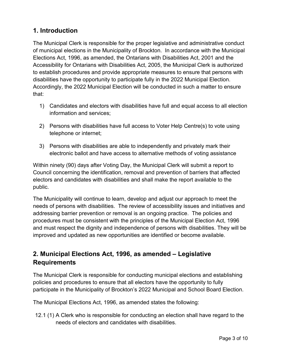## **1. Introduction**

The Municipal Clerk is responsible for the proper legislative and administrative conduct of municipal elections in the Municipality of Brockton. In accordance with the Municipal Elections Act, 1996, as amended, the Ontarians with Disabilities Act, 2001 and the Accessibility for Ontarians with Disabilities Act, 2005, the Municipal Clerk is authorized to establish procedures and provide appropriate measures to ensure that persons with disabilities have the opportunity to participate fully in the 2022 Municipal Election. Accordingly, the 2022 Municipal Election will be conducted in such a matter to ensure that:

- 1) Candidates and electors with disabilities have full and equal access to all election information and services;
- 2) Persons with disabilities have full access to Voter Help Centre(s) to vote using telephone or internet;
- 3) Persons with disabilities are able to independently and privately mark their electronic ballot and have access to alternative methods of voting assistance

Within ninety (90) days after Voting Day, the Municipal Clerk will submit a report to Council concerning the identification, removal and prevention of barriers that affected electors and candidates with disabilities and shall make the report available to the public.

The Municipality will continue to learn, develop and adjust our approach to meet the needs of persons with disabilities. The review of accessibility issues and initiatives and addressing barrier prevention or removal is an ongoing practice. The policies and procedures must be consistent with the principles of the Municipal Election Act, 1996 and must respect the dignity and independence of persons with disabilities. They will be improved and updated as new opportunities are identified or become available.

## <span id="page-2-0"></span>**2. Municipal Elections Act, 1996, as amended – Legislative Requirements**

The Municipal Clerk is responsible for conducting municipal elections and establishing policies and procedures to ensure that all electors have the opportunity to fully participate in the Municipality of Brockton's 2022 Municipal and School Board Election.

The Municipal Elections Act, 1996, as amended states the following:

12.1 (1) A Clerk who is responsible for conducting an election shall have regard to the needs of electors and candidates with disabilities.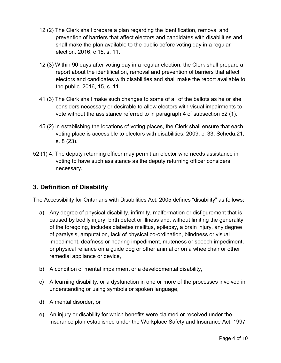- 12 (2) The Clerk shall prepare a plan regarding the identification, removal and prevention of barriers that affect electors and candidates with disabilities and shall make the plan available to the public before voting day in a regular election. 2016, c 15, s. 11.
- 12 (3) Within 90 days after voting day in a regular election, the Clerk shall prepare a report about the identification, removal and prevention of barriers that affect electors and candidates with disabilities and shall make the report available to the public. 2016, 15, s. 11.
- 41 (3) The Clerk shall make such changes to some of all of the ballots as he or she considers necessary or desirable to allow electors with visual impairments to vote without the assistance referred to in paragraph 4 of subsection 52 (1).
- 45 (2) In establishing the locations of voting places, the Clerk shall ensure that each voting place is accessible to electors with disabilities. 2009, c. 33, Schedu.21, s. 8 (23).
- 52 (1) 4. The deputy returning officer may permit an elector who needs assistance in voting to have such assistance as the deputy returning officer considers necessary.

## <span id="page-3-0"></span>**3. Definition of Disability**

The Accessibility for Ontarians with Disabilities Act, 2005 defines "disability" as follows:

- a) Any degree of physical disability, infirmity, malformation or disfigurement that is caused by bodily injury, birth defect or illness and, without limiting the generality of the foregoing, includes diabetes mellitus, epilepsy, a brain injury, any degree of paralysis, amputation, lack of physical co-ordination, blindness or visual impediment, deafness or hearing impediment, muteness or speech impediment, or physical reliance on a guide dog or other animal or on a wheelchair or other remedial appliance or device,
- b) A condition of mental impairment or a developmental disability,
- c) A learning disability, or a dysfunction in one or more of the processes involved in understanding or using symbols or spoken language,
- d) A mental disorder, or
- e) An injury or disability for which benefits were claimed or received under the insurance plan established under the Workplace Safety and Insurance Act, 1997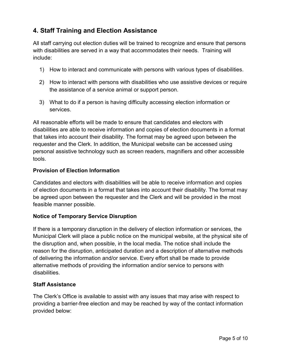## <span id="page-4-0"></span>**4. Staff Training and Election Assistance**

All staff carrying out election duties will be trained to recognize and ensure that persons with disabilities are served in a way that accommodates their needs. Training will include:

- 1) How to interact and communicate with persons with various types of disabilities.
- 2) How to interact with persons with disabilities who use assistive devices or require the assistance of a service animal or support person.
- 3) What to do if a person is having difficulty accessing election information or services.

All reasonable efforts will be made to ensure that candidates and electors with disabilities are able to receive information and copies of election documents in a format that takes into account their disability. The format may be agreed upon between the requester and the Clerk. In addition, the Municipal website can be accessed using personal assistive technology such as screen readers, magnifiers and other accessible tools.

#### <span id="page-4-1"></span>**Provision of Election Information**

Candidates and electors with disabilities will be able to receive information and copies of election documents in a format that takes into account their disability. The format may be agreed upon between the requester and the Clerk and will be provided in the most feasible manner possible.

#### <span id="page-4-2"></span>**Notice of Temporary Service Disruption**

If there is a temporary disruption in the delivery of election information or services, the Municipal Clerk will place a public notice on the municipal website, at the physical site of the disruption and, when possible, in the local media. The notice shall include the reason for the disruption, anticipated duration and a description of alternative methods of delivering the information and/or service. Every effort shall be made to provide alternative methods of providing the information and/or service to persons with disabilities.

#### <span id="page-4-3"></span>**Staff Assistance**

The Clerk's Office is available to assist with any issues that may arise with respect to providing a barrier-free election and may be reached by way of the contact information provided below: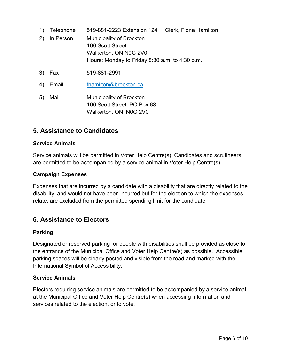| 1)  | Telephone | 519-881-2223 Extension 124                                                                                                     | Clerk, Fiona Hamilton |
|-----|-----------|--------------------------------------------------------------------------------------------------------------------------------|-----------------------|
| (2) | In Person | <b>Municipality of Brockton</b><br>100 Scott Street<br>Walkerton, ON N0G 2V0<br>Hours: Monday to Friday 8:30 a.m. to 4:30 p.m. |                       |
| 3)  | Fax       | 519-881-2991                                                                                                                   |                       |
| 4)  | Email     | fhamilton@brockton.ca                                                                                                          |                       |
| 5)  | Mail      | <b>Municipality of Brockton</b>                                                                                                |                       |

100 Scott Street, PO Box 68 Walkerton, ON N0G 2V0

## <span id="page-5-0"></span>**5. Assistance to Candidates**

#### <span id="page-5-1"></span>**Service Animals**

Service animals will be permitted in Voter Help Centre(s). Candidates and scrutineers are permitted to be accompanied by a service animal in Voter Help Centre(s).

#### <span id="page-5-2"></span>**Campaign Expenses**

Expenses that are incurred by a candidate with a disability that are directly related to the disability, and would not have been incurred but for the election to which the expenses relate, are excluded from the permitted spending limit for the candidate.

## <span id="page-5-3"></span>**6. Assistance to Electors**

#### <span id="page-5-4"></span>**Parking**

Designated or reserved parking for people with disabilities shall be provided as close to the entrance of the Municipal Office and Voter Help Centre(s) as possible. Accessible parking spaces will be clearly posted and visible from the road and marked with the International Symbol of Accessibility.

#### <span id="page-5-5"></span>**Service Animals**

Electors requiring service animals are permitted to be accompanied by a service animal at the Municipal Office and Voter Help Centre(s) when accessing information and services related to the election, or to vote.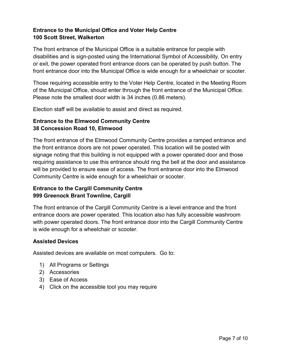#### <span id="page-6-0"></span>**Entrance to the Municipal Office and Voter Help Centre 100 Scott Street, Walkerton**

The front entrance of the Municipal Office is a suitable entrance for people with disabilities and is sign-posted using the International Symbol of Accessibility. On entry or exit, the power operated front entrance doors can be operated by push button. The front entrance door into the Municipal Office is wide enough for a wheelchair or scooter.

Those requiring accessible entry to the Voter Help Centre, located in the Meeting Room of the Municipal Office, should enter through the front entrance of the Municipal Office. Please note the smallest door width is 34 inches (0.86 meters).

Election staff will be available to assist and direct as required.

#### <span id="page-6-1"></span>**Entrance to the Elmwood Community Centre 38 Concession Road 10, Elmwood**

The front entrance of the Elmwood Community Centre provides a ramped entrance and the front entrance doors are not power operated. This location will be posted with signage noting that this building is not equipped with a power operated door and those requiring assistance to use this entrance should ring the bell at the door and assistance will be provided to ensure ease of access. The front entrance door into the Elmwood Community Centre is wide enough for a wheelchair or scooter.

#### <span id="page-6-2"></span>**Entrance to the Cargill Community Centre 999 Greenock Brant Townline, Cargill**

The front entrance of the Cargill Community Centre is a level entrance and the front entrance doors are power operated. This location also has fully accessible washroom with power operated doors. The front entrance door into the Cargill Community Centre is wide enough for a wheelchair or scooter.

#### <span id="page-6-3"></span>**Assisted Devices**

Assisted devices are available on most computers. Go to:

- 1) All Programs or Settings
- 2) Accessories
- 3) Ease of Access
- 4) Click on the accessible tool you may require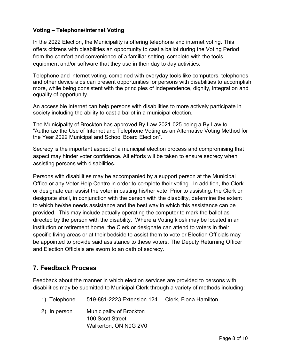#### <span id="page-7-0"></span>**Voting – Telephone/Internet Voting**

In the 2022 Election, the Municipality is offering telephone and internet voting. This offers citizens with disabilities an opportunity to cast a ballot during the Voting Period from the comfort and convenience of a familiar setting, complete with the tools, equipment and/or software that they use in their day to day activities.

Telephone and internet voting, combined with everyday tools like computers, telephones and other device aids can present opportunities for persons with disabilities to accomplish more, while being consistent with the principles of independence, dignity, integration and equality of opportunity.

An accessible internet can help persons with disabilities to more actively participate in society including the ability to cast a ballot in a municipal election.

The Municipality of Brockton has approved By-Law 2021-025 being a By-Law to "Authorize the Use of Internet and Telephone Voting as an Alternative Voting Method for the Year 2022 Municipal and School Board Election".

Secrecy is the important aspect of a municipal election process and compromising that aspect may hinder voter confidence. All efforts will be taken to ensure secrecy when assisting persons with disabilities.

Persons with disabilities may be accompanied by a support person at the Municipal Office or any Voter Help Centre in order to complete their voting. In addition, the Clerk or designate can assist the voter in casting his/her vote. Prior to assisting, the Clerk or designate shall, in conjunction with the person with the disability, determine the extent to which he/she needs assistance and the best way in which this assistance can be provided. This may include actually operating the computer to mark the ballot as directed by the person with the disability. Where a Voting kiosk may be located in an institution or retirement home, the Clerk or designate can attend to voters in their specific living areas or at their bedside to assist them to vote or Election Officials may be appointed to provide said assistance to these voters. The Deputy Returning Officer and Election Officials are sworn to an oath of secrecy.

## <span id="page-7-1"></span>**7. Feedback Process**

Feedback about the manner in which election services are provided to persons with disabilities may be submitted to Municipal Clerk through a variety of methods including:

- 1) Telephone 519-881-2223 Extension 124 Clerk, Fiona Hamilton
- 2) In person Municipality of Brockton 100 Scott Street Walkerton, ON N0G 2V0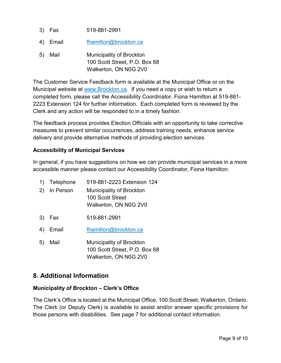- 3) Fax 519-881-2991
- 4) Email [fhamilton@brockton.ca](mailto:fhamilton@brockton.ca)
- 5) Mail Municipality of Brockton 100 Scott Street, P.O. Box 68 Walkerton, ON N0G 2V0

The Customer Service Feedback form is available at the Municipal Office or on the Municipal website at [www.Brockton.ca.](http://www.brockton.ca/) If you need a copy or wish to return a completed form, please call the Accessibility Coordinator, Fiona Hamilton at 519-881- 2223 Extension 124 for further information. Each completed form is reviewed by the Clerk and any action will be responded to in a timely fashion.

The feedback process provides Election Officials with an opportunity to take corrective measures to prevent similar occurrences, address training needs, enhance service delivery and provide alternative methods of providing election services.

#### <span id="page-8-0"></span>**Accessibility of Municipal Services**

In general, if you have suggestions on how we can provide municipal services in a more accessible manner please contact our Accessibility Coordinator, Fiona Hamilton:

- 1) Telephone 519-881-2223 Extension 124
- 2) In Person Municipality of Brockton 100 Scott Street Walkerton, ON N0G 2V0
- 3) Fax 519-881-2991
- 4) Email [fhamilton@brockton.ca](mailto:fhamilton@brockton.ca)
- 5) Mail Municipality of Brockton 100 Scott Street, P.O. Box 68 Walkerton, ON N0G 2V0

## <span id="page-8-1"></span>**8. Additional Information**

#### <span id="page-8-2"></span>**Municipality of Brockton – Clerk's Office**

The Clerk's Office is located at the Municipal Office, 100 Scott Street, Walkerton, Ontario. The Clerk (or Deputy Clerk) is available to assist and/or answer specific provisions for those persons with disabilities. See page 7 for additional contact information.